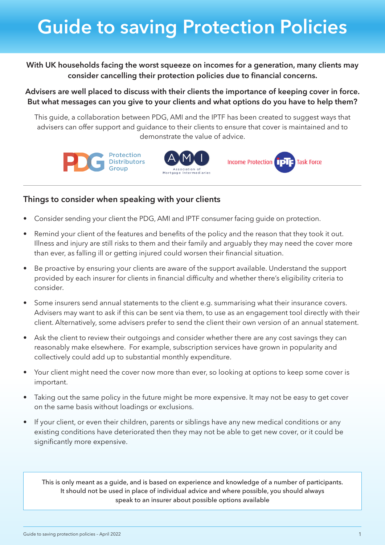## **Guide to saving Protection Policies**

**With UK households facing the worst squeeze on incomes for a generation, many clients may consider cancelling their protection policies due to financial concerns.** 

**Advisers are well placed to discuss with their clients the importance of keeping cover in force. But what messages can you give to your clients and what options do you have to help them?** 

This guide, a collaboration between PDG, AMI and the IPTF has been created to suggest ways that advisers can offer support and guidance to their clients to ensure that cover is maintained and to demonstrate the value of advice.







## **Things to consider when speaking with your clients**

- Consider sending your client the PDG, AMI and IPTF consumer facing quide on protection.
- Remind your client of the features and benefits of the policy and the reason that they took it out. Illness and injury are still risks to them and their family and arguably they may need the cover more than ever, as falling ill or getting injured could worsen their financial situation.
- Be proactive by ensuring your clients are aware of the support available. Understand the support provided by each insurer for clients in financial difficulty and whether there's eligibility criteria to consider.
- Some insurers send annual statements to the client e.g. summarising what their insurance covers. Advisers may want to ask if this can be sent via them, to use as an engagement tool directly with their client. Alternatively, some advisers prefer to send the client their own version of an annual statement.
- Ask the client to review their outgoings and consider whether there are any cost savings they can reasonably make elsewhere. For example, subscription services have grown in popularity and collectively could add up to substantial monthly expenditure.
- Your client might need the cover now more than ever, so looking at options to keep some cover is important.
- Taking out the same policy in the future might be more expensive. It may not be easy to get cover on the same basis without loadings or exclusions.
- If your client, or even their children, parents or siblings have any new medical conditions or any existing conditions have deteriorated then they may not be able to get new cover, or it could be significantly more expensive.

This is only meant as a guide, and is based on experience and knowledge of a number of participants. It should not be used in place of individual advice and where possible, you should always speak to an insurer about possible options available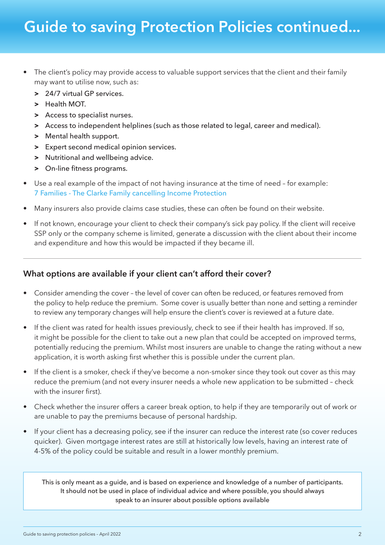## **Guide to saving Protection Policies continued...**

- The client's policy may provide access to valuable support services that the client and their family may want to utilise now, such as:
	- **>** 24/7 virtual GP services.
	- **>** Health MOT.
	- **>** Access to specialist nurses.
	- **>** Access to independent helplines (such as those related to legal, career and medical).
	- **>** Mental health support.
	- **>** Expert second medical opinion services.
	- **>** Nutritional and wellbeing advice.
	- **>** On-line fitness programs.
- Use a real example of the impact of not having insurance at the time of need for example: [7 Families - The Clarke Family cancelling Income Protection](https://iptf.co.uk/adviser-hub/seven-families/)
- Many insurers also provide claims case studies, these can often be found on their website.
- If not known, encourage your client to check their company's sick pay policy. If the client will receive SSP only or the company scheme is limited, generate a discussion with the client about their income and expenditure and how this would be impacted if they became ill.

## **What options are available if your client can't afford their cover?**

- Consider amending the cover the level of cover can often be reduced, or features removed from the policy to help reduce the premium. Some cover is usually better than none and setting a reminder to review any temporary changes will help ensure the client's cover is reviewed at a future date.
- If the client was rated for health issues previously, check to see if their health has improved. If so, it might be possible for the client to take out a new plan that could be accepted on improved terms, potentially reducing the premium. Whilst most insurers are unable to change the rating without a new application, it is worth asking first whether this is possible under the current plan.
- If the client is a smoker, check if they've become a non-smoker since they took out cover as this may reduce the premium (and not every insurer needs a whole new application to be submitted – check with the insurer first).
- Check whether the insurer offers a career break option, to help if they are temporarily out of work or are unable to pay the premiums because of personal hardship.
- If your client has a decreasing policy, see if the insurer can reduce the interest rate (so cover reduces quicker). Given mortgage interest rates are still at historically low levels, having an interest rate of 4-5% of the policy could be suitable and result in a lower monthly premium.

This is only meant as a guide, and is based on experience and knowledge of a number of participants. It should not be used in place of individual advice and where possible, you should always speak to an insurer about possible options available